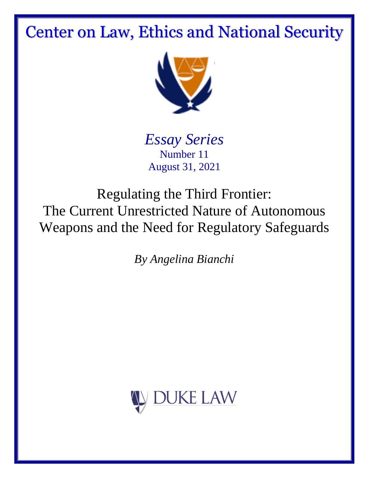# Center on Law, Ethics and National Security



*Essay Series* Number 11 August 31, 2021

Regulating the Third Frontier: The Current Unrestricted Nature of Autonomous Weapons and the Need for Regulatory Safeguards

*By Angelina Bianchi*

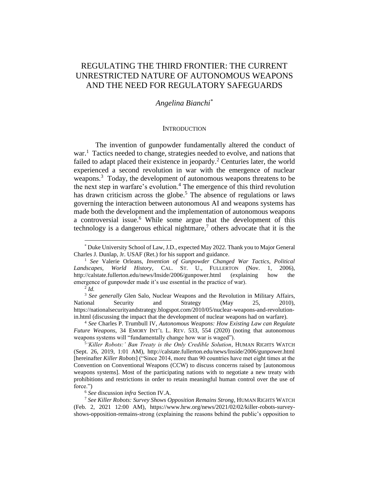## REGULATING THE THIRD FRONTIER: THE CURRENT UNRESTRICTED NATURE OF AUTONOMOUS WEAPONS AND THE NEED FOR REGULATORY SAFEGUARDS

## *Angelina Bianchi\**

#### <span id="page-1-1"></span><span id="page-1-0"></span>**INTRODUCTION**

The invention of gunpowder fundamentally altered the conduct of war.<sup>1</sup> Tactics needed to change, strategies needed to evolve, and nations that failed to adapt placed their existence in jeopardy.<sup>2</sup> Centuries later, the world experienced a second revolution in war with the emergence of nuclear weapons.<sup>3</sup> Today, the development of autonomous weapons threatens to be the next step in warfare's evolution.<sup>4</sup> The emergence of this third revolution has drawn criticism across the globe.<sup>5</sup> The absence of regulations or laws governing the interaction between autonomous AI and weapons systems has made both the development and the implementation of autonomous weapons a controversial issue.<sup>6</sup> While some argue that the development of this technology is a dangerous ethical nightmare, $\frac{7}{7}$  others advocate that it is the

<sup>\*</sup> Duke University School of Law, J.D., expected May 2022. Thank you to Major General Charles J. Dunlap, Jr. USAF (Ret.) for his support and guidance.

<sup>1</sup> *See* Valerie Orleans, *Invention of Gunpowder Changed War Tactics, Political Landscapes, World History*, CAL. ST. U., FULLERTON (Nov. 1, 2006), http://calstate.fullerton.edu/news/Inside/2006/gunpower.html (explaining how the emergence of gunpowder made it's use essential in the practice of war).

<sup>2</sup> *Id.*

<sup>&</sup>lt;sup>3</sup> See generally Glen Salo, Nuclear Weapons and the Revolution in Military Affairs, National Security and Strategy (May 25, 2010), https://nationalsecurityandstrategy.blogspot.com/2010/05/nuclear-weapons-and-revolutionin.html (discussing the impact that the development of nuclear weapons had on warfare).

<sup>4</sup> *See* Charles P. Trumbull IV, *Autonomous Weapons: How Existing Law can Regulate Future Weapons*, 34 EMORY INT'L L. REV. 533, 554 (2020) (noting that autonomous weapons systems will "fundamentally change how war is waged").

<sup>5</sup> *'Killer Robots:' Ban Treaty is the Only Credible Solution*, HUMAN RIGHTS WATCH (Sept. 26, 2019, 1:01 AM), http://calstate.fullerton.edu/news/Inside/2006/gunpower.html [hereinafter *Killer Robots*] ("Since 2014, more than 90 countries have met eight times at the Convention on Conventional Weapons (CCW) to discuss concerns raised by [autonomous weapons systems]. Most of the participating nations with to negotiate a new treaty with prohibitions and restrictions in order to retain meaningful human control over the use of force.")

<sup>6</sup> *See* discussion *infra* Section IV.A.

<sup>7</sup> *See Killer Robots: Survey Shows Opposition Remains Strong*, HUMAN RIGHTS WATCH (Feb. 2, 2021 12:00 AM), https://www.hrw.org/news/2021/02/02/killer-robots-surveyshows-opposition-remains-strong (explaining the reasons behind the public's opposition to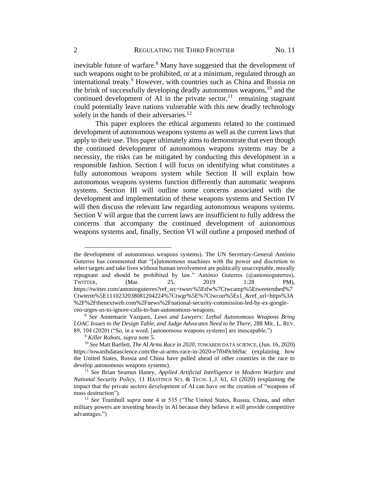<span id="page-2-1"></span><span id="page-2-0"></span>inevitable future of warfare.<sup>8</sup> Many have suggested that the development of such weapons ought to be prohibited, or at a minimum, regulated through an international treaty. <sup>9</sup> However, with countries such as China and Russia on the brink of successfully developing deadly autonomous weapons,  $^{10}$  and the continued development of AI in the private sector,  $11$  remaining stagnant could potentially leave nations vulnerable with this new deadly technology solely in the hands of their adversaries.<sup>12</sup>

<span id="page-2-2"></span>This paper explores the ethical arguments related to the continued development of autonomous weapons systems as well as the current laws that apply to their use. This paper ultimately aims to demonstrate that even though the continued development of autonomous weapons systems may be a necessity, the risks can be mitigated by conducting this development in a responsible fashion. Section I will focus on identifying what constitutes a fully autonomous weapons system while Section II will explain how autonomous weapons systems function differently than automatic weapons systems. Section III will outline some concerns associated with the development and implementation of these weapons systems and Section IV will then discuss the relevant law regarding autonomous weapons systems. Section V will argue that the current laws are insufficient to fully address the concerns that accompany the continued development of autonomous weapons systems and, finally, Section VI will outline a proposed method of

the development of autonomous weapons systems). The UN Secretary-General António Guterres has commented that "[a]utonomous machines with the power and discretion to select targets and take lives without human involvement are politically unacceptable, morally repugnant and should be prohibited by law." António Guterres (@antonioguterres), TWITTER, (Mar. 25, 2019 1:28 PM), https://twitter.com/antonioguterres?ref\_src=twsrc%5Etfw%7Ctwcamp%5Etweetembed%7 Ctwterm%5E1110232038081204224%7Ctwgr%5E%7Ctwcon%5Es1\_&ref\_url=https%3A %2F%2Fthenextweb.com%2Fnews%2Fnational-security-commission-led-by-ex-googleceo-urges-us-to-ignore-calls-to-ban-autonomous-weapons.

<sup>8</sup> *See* Annemarie Vazquez, *Laws and Lawyers: Lethal Autonomous Weapons Bring LOAC Issues to the Design Table, and Judge Advocates Need to be There*, 288 MIL. L. REV. 89, 104 (2020) ("So, in a word, [autonomous weapons systems] are inescapable.")

<sup>9</sup> *Killer Robots*, *supra* note [5.](#page-1-0)

<sup>10</sup> *See* Matt Bartlett, *The AI Arms Race in 2020*, TOWARDS DATA SCIENCE, (Jun. 16, 2020) https://towardsdatascience.com/the-ai-arms-race-in-2020-e7f049cb69ac (explaining how the United States, Russia and China have pulled ahead of other countries in the race to develop autonomous weapons systems).

<sup>11</sup> *See* Brian Seamus Haney, *Applied Artificial Intelligence in Modern Warfare and National Security Policy*, 11 HASTINGS SCI. & TECH. L.J. 61, 63 (2020) (explaining the impact that the private sectors development of AI can have on the creation of "weapons of mass destruction").

<sup>12</sup> *See* Trumbull *supra* note [4](#page-1-1) at 535 ("The United States, Russia, China, and other military powers are investing heavily in AI because they believe it will provide competitive advantages.")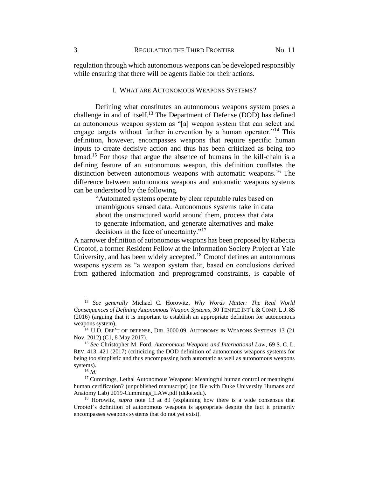regulation through which autonomous weapons can be developed responsibly while ensuring that there will be agents liable for their actions.

#### <span id="page-3-0"></span>I. WHAT ARE AUTONOMOUS WEAPONS SYSTEMS?

Defining what constitutes an autonomous weapons system poses a challenge in and of itself.<sup>13</sup> The Department of Defense (DOD) has defined an autonomous weapon system as "[a] weapon system that can select and engage targets without further intervention by a human operator."<sup>14</sup> This definition, however, encompasses weapons that require specific human inputs to create decisive action and thus has been criticized as being too broad. <sup>15</sup> For those that argue the absence of humans in the kill-chain is a defining feature of an autonomous weapon, this definition conflates the distinction between autonomous weapons with automatic weapons.<sup>16</sup> The difference between autonomous weapons and automatic weapons systems can be understood by the following.

<span id="page-3-2"></span><span id="page-3-1"></span>"Automated systems operate by clear reputable rules based on unambiguous sensed data. Autonomous systems take in data about the unstructured world around them, process that data to generate information, and generate alternatives and make decisions in the face of uncertainty."<sup>17</sup>

A narrower definition of autonomous weapons has been proposed by Rabecca Crootof, a former Resident Fellow at the Information Society Project at Yale University, and has been widely accepted.<sup>18</sup> Crootof defines an autonomous weapons system as "a weapon system that, based on conclusions derived from gathered information and preprogramed constraints, is capable of

<sup>13</sup> *See generally* Michael C. Horowitz, *Why Words Matter: The Real World Consequences of Defining Autonomous Weapon Systems*, 30 TEMPLE INT'L & COMP. L.J. 85 (2016) (arguing that it is important to establish an appropriate definition for autonomous weapons system).

<sup>&</sup>lt;sup>14</sup> U.D. DEP'T OF DEFENSE, DIR. 3000.09, AUTONOMY IN WEAPONS SYSTEMS 13 (21) Nov. 2012) (C1, 8 May 2017).

<sup>15</sup> *See* Christopher M. Ford, *Autonomous Weapons and International Law*, 69 S. C. L. REV. 413, 421 (2017) (criticizing the DOD definition of autonomous weapons systems for being too simplistic and thus encompassing both automatic as well as autonomous weapons systems).

<sup>16</sup> *Id.*

<sup>&</sup>lt;sup>17</sup> Cummings, Lethal Autonomous Weapons: Meaningful human control or meaningful human certification? (unpublished manuscript) (on file with Duke University Humans and Anatomy Lab) [2019-Cummings\\_LAW.pdf \(duke.edu\).](http://hal.pratt.duke.edu/sites/hal.pratt.duke.edu/files/u35/2019-Cummings_LAW.pdf)

<sup>18</sup> Horowitz, *supra* note [13](#page-3-0) at 89 (explaining how there is a wide consensus that Crootof's definition of autonomous weapons is appropriate despite the fact it primarily encompasses weapons systems that do not yet exist).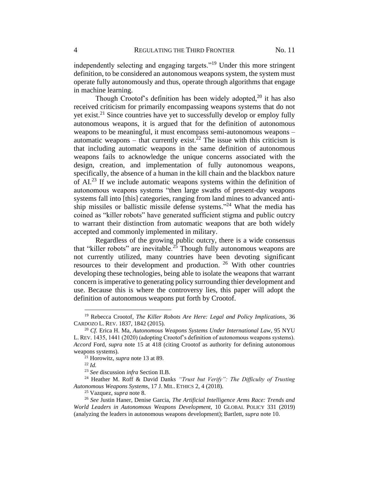independently selecting and engaging targets."<sup>19</sup> Under this more stringent definition, to be considered an autonomous weapons system, the system must operate fully autonomously and thus, operate through algorithms that engage in machine learning.

Though Crootof's definition has been widely adopted,<sup>20</sup> it has also received criticism for primarily encompassing weapons systems that do not yet exist.<sup>21</sup> Since countries have yet to successfully develop or employ fully autonomous weapons, it is argued that for the definition of autonomous weapons to be meaningful, it must encompass semi-autonomous weapons – automatic weapons – that currently exist.<sup>22</sup> The issue with this criticism is that including automatic weapons in the same definition of autonomous weapons fails to acknowledge the unique concerns associated with the design, creation, and implementation of fully autonomous weapons, specifically, the absence of a human in the kill chain and the blackbox nature of  $AI^{23}$  If we include automatic weapons systems within the definition of autonomous weapons systems "then large swaths of present-day weapons systems fall into [this] categories, ranging from land mines to advanced antiship missiles or ballistic missile defense systems."<sup>24</sup> What the media has coined as "killer robots" have generated sufficient stigma and public outcry to warrant their distinction from automatic weapons that are both widely accepted and commonly implemented in military.

<span id="page-4-0"></span>Regardless of the growing public outcry, there is a wide consensus that "killer robots" are inevitable.<sup>25</sup> Though fully autonomous weapons are not currently utilized, many countries have been devoting significant resources to their development and production. <sup>26</sup> With other countries developing these technologies, being able to isolate the weapons that warrant concern is imperative to generating policy surrounding thier development and use. Because this is where the controversy lies, this paper will adopt the definition of autonomous weapons put forth by Crootof.

<sup>19</sup> Rebecca Crootof, *The Killer Robots Are Here: Legal and Policy Implications*, 36 CARDOZO L. REV. 1837, 1842 (2015).

<sup>20</sup> *Cf.* Erica H. Ma, *Autonomous Weapons Systems Under International Law*, 95 NYU L. REV. 1435, 1441 (2020) (adopting Crootof's definition of autonomous weapons systems). *Accord* Ford, *supra* note [15](#page-3-1) at 418 (citing Crootof as authority for defining autonomous weapons systems).

<sup>21</sup> Horowitz, *supra* note [13](#page-3-0) at 89.

<sup>22</sup> *Id.*

<sup>23</sup> *See* discussion *infra* Section II.B.

<sup>24</sup> Heather M. Roff & David Danks *"Trust but Verify": The Difficulty of Trusting Autonomous Weapons Systems*, 17 J. MIL. ETHICS 2, 4 (2018).

<sup>25</sup> Vazquez, *supra* note [8.](#page-2-0)

<sup>26</sup> *See* Justin Haner, Denise Garcia, *The Artificial Intelligence Arms Race: Trends and World Leaders in Autonomous Weapons Development*, 10 GLOBAL POLICY 331 (2019) (analyzing the leaders in autonomous weapons development); Bartlett, *supra* note [10.](#page-2-1)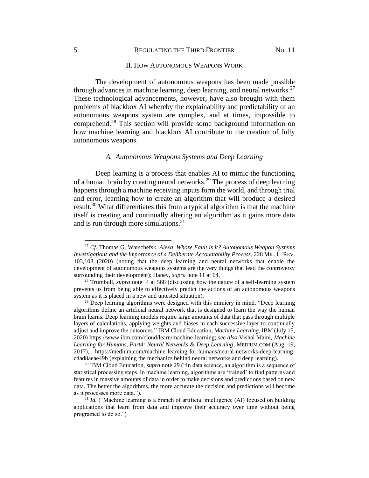#### <span id="page-5-1"></span>II. HOW AUTONOMOUS WEAPONS WORK

The development of autonomous weapons has been made possible through advances in machine learning, deep learning, and neural networks.<sup>27</sup> These technological advancements, however, have also brought with them problems of blackbox AI whereby the explainability and predictability of an autonomous weapons system are complex, and at times, impossible to comprehend.<sup>28</sup> This section will provide some background information on how machine learning and blackbox AI contribute to the creation of fully autonomous weapons.

#### <span id="page-5-0"></span>*A. Autonomous Weapons Systems and Deep Learning*

Deep learning is a process that enables AI to mimic the functioning of a human brain by creating neural networks.<sup>29</sup> The process of deep learning happens through a machine receiving inputs form the world, and through trial and error, learning how to create an algorithm that will produce a desired result.<sup>30</sup> What differentiates this from a typical algorithm is that the machine itself is creating and continually altering an algorithm as it gains more data and is run through more simulations.<sup>31</sup>

<sup>27</sup> *Cf.* Thomas G. Warschefsk, *Alexa, Whose Fault is it? Autonomous Weapon Systems Investigations and the Importance of a Deliberate Accountability Process*, 228 MIL. L. REV. 103,108 (2020) (noting that the deep learning and neural networks that enable the development of autonomous weapons systems are the very things that lead the controversy surrounding their development); Haney, *supra* note [11](#page-2-2) at 64.

<sup>28</sup> Trumbull, *supra* note [4](#page-1-1) at 568 (discussing how the nature of a self-learning system prevents us from being able to effectively predict the actions of an autonomous weapons system as it is placed in a new and untested situation).

 $29$  Deep learning algorithms were designed with this mimicry in mind. "Deep learning algorithms define an artificial neural network that is designed to learn the way the human brain learns. Deep learning models require large amounts of data that pass through multiple layers of calculations, applying weights and biases in each successive layer to continually adjust and improve the outcomes." IBM Cloud Education, *Machine Learning*, IBM (July 15, 2020) [https://www.ibm.com/cloud/learn/machine-learning;](https://www.ibm.com/cloud/learn/machine-learning) *see also* Vishal Maini, *Machine Learning for Humans, Part4: Neural Networks & Deep Learning*, MEDIUM.COM (Aug. 19, 2017), https://medium.com/machine-learning-for-humans/neural-networks-deep-learningcdad8aeae49b (explaining the mechanics behind neural networks and deep learning).

<sup>30</sup> IBM Cloud Education, *supra* note [29](#page-5-0) ("In data science, an algorithm is a sequence of statistical processing steps. In machine learning, algorithms are 'trained' to find patterns and features in massive amounts of data in order to make decisions and predictions based on new data. The better the algorithms, the more accurate the decision and predictions will become as it processes more data.").

<sup>&</sup>lt;sup>31</sup> *Id.* ("Machine learning is a branch of artificial intelligence (AI) focused on building applications that learn from data and improve their accuracy over time without being programed to do so.")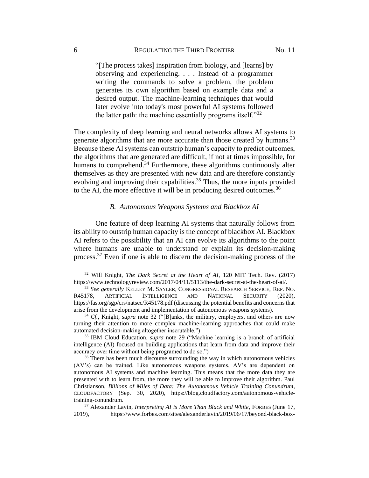<span id="page-6-0"></span>"[The process takes] inspiration from biology, and [learns] by observing and experiencing. . . . Instead of a programmer writing the commands to solve a problem, the problem generates its own algorithm based on example data and a desired output. The machine-learning techniques that would later evolve into today's most powerful AI systems followed the latter path: the machine essentially programs itself."<sup>32</sup>

The complexity of deep learning and neural networks allows AI systems to generate algorithms that are more accurate than those created by humans.<sup>33</sup> Because these AI systems can outstrip human's capacity to predict outcomes, the algorithms that are generated are difficult, if not at times impossible, for humans to comprehend.<sup>34</sup> Furthermore, these algorithms continuously alter themselves as they are presented with new data and are therefore constantly evolving and improving their capabilities.<sup>35</sup> Thus, the more inputs provided to the AI, the more effective it will be in producing desired outcomes.<sup>36</sup>

#### <span id="page-6-1"></span>*B. Autonomous Weapons Systems and Blackbox AI*

One feature of deep learning AI systems that naturally follows from its ability to outstrip human capacity is the concept of blackbox AI. Blackbox AI refers to the possibility that an AI can evolve its algorithms to the point where humans are unable to understand or explain its decision-making process.<sup>37</sup> Even if one is able to discern the decision-making process of the

<sup>32</sup> Will Knight, *The Dark Secret at the Heart of AI*, 120 MIT Tech. Rev. (2017) https://www.technologyreview.com/2017/04/11/5113/the-dark-secret-at-the-heart-of-ai/.

<sup>33</sup> *See generally* KELLEY M. SAYLER, CONGRESSIONAL RESEARCH SERVICE, REP. NO. R45178, ARTIFICIAL INTELLIGENCE AND NATIONAL SECURITY (2020), https://fas.org/sgp/crs/natsec/R45178.pdf (discussing the potential benefits and concerns that arise from the development and implementation of autonomous weapons systems).

<sup>34</sup> *Cf.*, Knight, *supra* note [32](#page-6-0) ("[B]anks, the military, employers, and others are now turning their attention to more complex machine-learning approaches that could make automated decision-making altogether inscrutable.")

<sup>35</sup> IBM Cloud Education, *supra* note [29](#page-5-0) ("Machine learning is a branch of artificial intelligence (AI) focused on building applications that learn from data and improve their accuracy over time without being programed to do so.")

<sup>&</sup>lt;sup>36</sup> There has been much discourse surrounding the way in which autonomous vehicles (AV's) can be trained. Like autonomous weapons systems, AV's are dependent on autonomous AI systems and machine learning. This means that the more data they are presented with to learn from, the more they will be able to improve their algorithm. Paul Christianson, *Billions of Miles of Data: The Autonomous Vehicle Training Conundrum*, CLOUDFACTORY (Sep. 30, 2020), https://blog.cloudfactory.com/autonomous-vehicletraining-conundrum.

<sup>37</sup> Alexander Lavin, *Interpreting AI is More Than Black and White*, FORBES (June 17, 2019), https://www.forbes.com/sites/alexanderlavin/2019/06/17/beyond-black-box-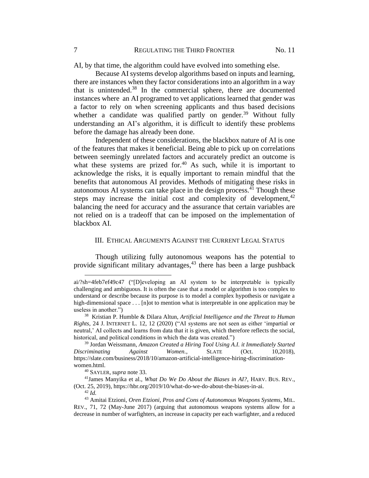AI, by that time, the algorithm could have evolved into something else.

Because AI systems develop algorithms based on inputs and learning, there are instances when they factor considerations into an algorithm in a way that is unintended. $38$  In the commercial sphere, there are documented instances where an AI programed to vet applications learned that gender was a factor to rely on when screening applicants and thus based decisions whether a candidate was qualified partly on gender.<sup>39</sup> Without fully understanding an AI's algorithm, it is difficult to identify these problems before the damage has already been done.

Independent of these considerations, the blackbox nature of AI is one of the features that makes it beneficial. Being able to pick up on correlations between seemingly unrelated factors and accurately predict an outcome is what these systems are prized for.<sup>40</sup> As such, while it is important to acknowledge the risks, it is equally important to remain mindful that the benefits that autonomous AI provides. Methods of mitigating these risks in autonomous AI systems can take place in the design process. $^{41}$  Though these steps may increase the initial cost and complexity of development,  $42$ balancing the need for accuracy and the assurance that certain variables are not relied on is a tradeoff that can be imposed on the implementation of blackbox AI.

### III. ETHICAL ARGUMENTS AGAINST THE CURRENT LEGAL STATUS

Though utilizing fully autonomous weapons has the potential to provide significant military advantages, $43$  there has been a large pushback

ai/?sh=4feb7ef49c47 ("[D]eveloping an AI system to be interpretable is typically challenging and ambiguous. It is often the case that a model or algorithm is too complex to understand or describe because its purpose is to model a complex hypothesis or navigate a high-dimensional space . . . [n]ot to mention what is interpretable in one application may be useless in another.")

<sup>38</sup> Kristian P. Humble & Dilara Altun, *Artificial Intelligence and the Threat to Human Rights*, 24 J. INTERNET L. 12, 12 (2020) ("AI systems are not seen as either 'impartial or neutral,' AI collects and learns from data that it is given, which therefore reflects the social, historical, and political conditions in which the data was created.")

<sup>39</sup> Jordan Weissmann, *Amazon Created a Hiring Tool Using A.I. it Immediately Started Discriminating Against Women.*, SLATE (Oct. 10,2018), https://slate.com/business/2018/10/amazon-artificial-intelligence-hiring-discriminationwomen.html.

<sup>40</sup> SAYLER, *supra* note [33.](#page-6-1)

<sup>41</sup>James Manyika et al., *What Do We Do About the Biases in AI?*, HARV. BUS. REV., (Oct. 25, 2019), https://hbr.org/2019/10/what-do-we-do-about-the-biases-in-ai.

<sup>42</sup> *Id.*

<sup>43</sup> Amitai Etzioni, *Oren Etzioni, Pros and Cons of Autonomous Weapons Systems*, MIL. REV., 71, 72 (May-June 2017) (arguing that autonomous weapons systems allow for a decrease in number of warfighters, an increase in capacity per each warfighter, and a reduced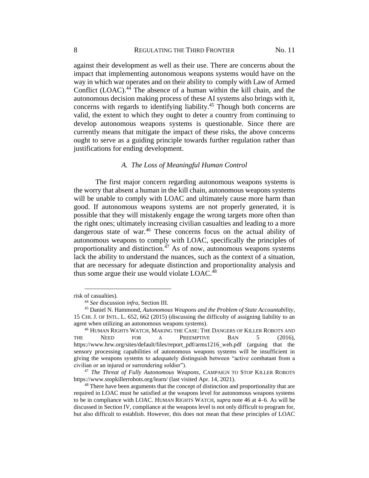against their development as well as their use. There are concerns about the impact that implementing autonomous weapons systems would have on the way in which war operates and on their ability to comply with Law of Armed Conflict (LOAC). <sup>44</sup> The absence of a human within the kill chain, and the autonomous decision making process of these AI systems also brings with it, concerns with regards to identifying liability.<sup>45</sup> Though both concerns are valid, the extent to which they ought to deter a country from continuing to develop autonomous weapons systems is questionable. Since there are currently means that mitigate the impact of these risks, the above concerns ought to serve as a guiding principle towards further regulation rather than justifications for ending development.

## <span id="page-8-1"></span><span id="page-8-0"></span>*A. The Loss of Meaningful Human Control*

The first major concern regarding autonomous weapons systems is the worry that absent a human in the kill chain, autonomous weapons systems will be unable to comply with LOAC and ultimately cause more harm than good. If autonomous weapons systems are not properly generated, it is possible that they will mistakenly engage the wrong targets more often than the right ones; ultimately increasing civilian casualties and leading to a more dangerous state of war.<sup>46</sup> These concerns focus on the actual ability of autonomous weapons to comply with LOAC, specifically the principles of proportionality and distinction. $47$  As of now, autonomous weapons systems lack the ability to understand the nuances, such as the context of a situation, that are necessary for adequate distinction and proportionality analysis and thus some argue their use would violate  $LOAC<sub>148</sub>$ .

risk of casualties).

<sup>44</sup> *See* discussion *infra*, Section III.

<sup>45</sup> Daniel N. Hammond, *Autonomous Weapons and the Problem of State Accountability*, 15 CHI. J. OF INTL. L. 652, 662 (2015) (discussing the difficulty of assigning liability to an agent when utilizing an autonomous weapons systems).

<sup>46</sup> HUMAN RIGHTS WATCH, MAKING THE CASE: THE DANGERS OF KILLER ROBOTS AND THE NEED FOR A PREEMPTIVE BAN 5 (2016), https://www.hrw.org/sites/default/files/report\_pdf/arms1216\_web.pdf (arguing that the sensory processing capabilities of autonomous weapons systems will be insufficient in giving the weapons systems to adequately distinguish between "active combatant from a civilian or an injured or surrendering soldier").

<sup>47</sup> *The Threat of Fully Autonomous Weapons*, CAMPAIGN TO STOP KILLER ROBOTS https://www.stopkillerrobots.org/learn/ (last visited Apr. 14, 2021).

<sup>&</sup>lt;sup>48</sup> There have been arguments that the concept of distinction and proportionality that are required in LOAC must be satisfied at the weapons level for autonomous weapons systems to be in compliance with LOAC. HUMAN RIGHTS WATCH, *supra* note [46](#page-8-0) at 4–6. As will be discussed in Section IV, compliance at the weapons level is not only difficult to program for, but also difficult to establish. However, this does not mean that these principles of LOAC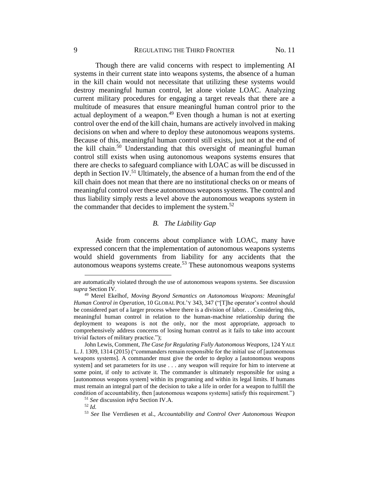Though there are valid concerns with respect to implementing AI systems in their current state into weapons systems, the absence of a human in the kill chain would not necessitate that utilizing these systems would destroy meaningful human control, let alone violate LOAC. Analyzing current military procedures for engaging a target reveals that there are a multitude of measures that ensure meaningful human control prior to the actual deployment of a weapon. $49$  Even though a human is not at exerting control over the end of the kill chain, humans are actively involved in making decisions on when and where to deploy these autonomous weapons systems. Because of this, meaningful human control still exists, just not at the end of the kill chain.<sup>50</sup> Understanding that this oversight of meaningful human control still exists when using autonomous weapons systems ensures that there are checks to safeguard compliance with LOAC as will be discussed in depth in Section IV.<sup>51</sup> Ultimately, the absence of a human from the end of the kill chain does not mean that there are no institutional checks on or means of meaningful control over these autonomous weapons systems. The control and thus liability simply rests a level above the autonomous weapons system in the commander that decides to implement the system.<sup>52</sup>

## <span id="page-9-0"></span>*B. The Liability Gap*

Aside from concerns about compliance with LOAC, many have expressed concern that the implementation of autonomous weapons systems would shield governments from liability for any accidents that the autonomous weapons systems create.<sup>53</sup> These autonomous weapons systems

<sup>52</sup> *Id.*

are automatically violated through the use of autonomous weapons systems. See discussion *supra* Section IV.

<sup>49</sup> Merel Ekelhof*, Moving Beyond Semantics on Autonomous Weapons: Meaningful Human Control in Operation*, 10 GLOBAL POL'Y 343, 347 ("[T]he operator's control should be considered part of a larger process where there is a division of labor. . . Considering this, meaningful human control in relation to the human-machine relationship during the deployment to weapons is not the only, nor the most appropriate, approach to comprehensively address concerns of losing human control as it fails to take into account trivial factors of military practice.");

John Lewis, Comment, *The Case for Regulating Fully Autonomous Weapons,* 124 YALE L. J. 1309, 1314 (2015) ("commanders remain responsible for the initial use of [autonomous weapons systems]. A commander must give the order to deploy a [autonomous weapons system] and set parameters for its use . . . any weapon will require for him to intervene at some point, if only to activate it. The commander is ultimately responsible for using a [autonomous weapons system] within its programing and within its legal limits. If humans must remain an integral part of the decision to take a life in order for a weapon to fulfill the condition of accountability, then [autonomous weapons systems] satisfy this requirement.")

<sup>51</sup> *See* discussion *infra* Section IV.A.

<sup>53</sup> *See* Ilse Verrdiesen et al., *Accountability and Control Over Autonomous Weapon*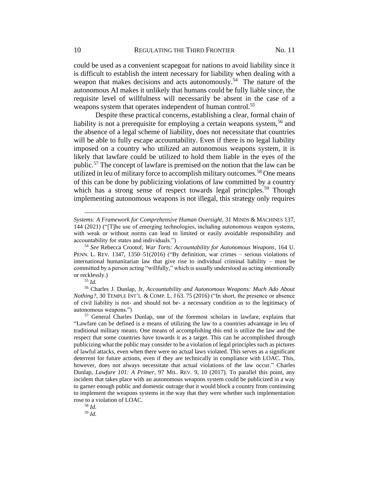<span id="page-10-0"></span>could be used as a convenient scapegoat for nations to avoid liability since it is difficult to establish the intent necessary for liability when dealing with a weapon that makes decisions and acts autonomously.<sup>54</sup> The nature of the autonomous AI makes it unlikely that humans could be fully liable since, the requisite level of willfulness will necessarily be absent in the case of a weapons system that operates independent of human control.<sup>55</sup>

<span id="page-10-1"></span>Despite these practical concerns, establishing a clear, formal chain of liability is not a prerequisite for employing a certain weapons system,<sup>56</sup> and the absence of a legal scheme of liability, does not necessitate that countries will be able to fully escape accountability. Even if there is no legal liability imposed on a country who utilized an autonomous weapons system, it is likely that lawfare could be utilized to hold them liable in the eyes of the public.<sup>57</sup> The concept of lawfare is premised on the notion that the law can be utilized in leu of military force to accomplish military outcomes.<sup>58</sup> One means of this can be done by publicizing violations of law committed by a country which has a strong sense of respect towards legal principles.<sup>59</sup> Though implementing autonomous weapons is not illegal, this strategy only requires

<sup>58</sup> *Id.*

<sup>59</sup> *Id.*

*Systems: A Framework for Comprehensive Human Oversight*, 31 MINDS & MACHINES 137, 144 (2021) ("[T]he use of emerging technologies, including autonomous weapon systems, with weak or without norms can lead to limited or easily avoidable responsibility and accountability for states and individuals.")

<sup>54</sup> *See* Rebecca Crootof, *War Torts: Accountability for Autonomous Weapons*, 164 U. PENN. L. REV. 1347, 1350–51(2016) ("By definition, war crimes – serious violations of international humanitarian law that give rise to individual criminal liability – must be committed by a person acting "willfully," which is usually understood as acting intentionally or recklessly.)

<sup>55</sup> *Id.*

<sup>56</sup> Charles J. Dunlap, Jr, *Accountability and Autonomous Weapons: Much Ado About Nothing?*, 30 TEMPLE INT'L & COMP. L. J 63. 75 (2016) ("In short, the presence or absence of civil liability is not- and should not be- a necessary condition as to the legitimacy of autonomous weapons.")

<sup>57</sup> General Charles Dunlap, one of the foremost scholars in lawfare, explains that "Lawfare can be defined is a means of utilizing the law to a countries advantage in leu of traditional military means. One means of accomplishing this end is utilize the law and the respect that some countries have towards it as a target. This can be accomplished through publicizing what the public may consider to be a violation of legal principles such as pictures of lawful attacks, even when there were no actual laws violated. This serves as a significant deterrent for future actions, even if they are technically in compliance with LOAC. This, however, does not always necessitate that actual violations of the law occur." Charles Dunlap, *Lawfare 101: A Primer*, 97 MIL. REV. 9, 10 (2017). To parallel this point, any incident that takes place with an autonomous weapons system could be publicized in a way to garner enough public and domestic outrage that it would block a country from continuing to implement the weapons systems in the way that they were whether such implementation rose to a violation of LOAC.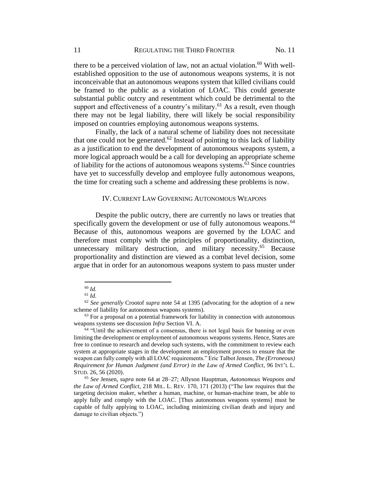there to be a perceived violation of law, not an actual violation.<sup>60</sup> With wellestablished opposition to the use of autonomous weapons systems, it is not inconceivable that an autonomous weapons system that killed civilians could be framed to the public as a violation of LOAC. This could generate substantial public outcry and resentment which could be detrimental to the support and effectiveness of a country's military.<sup>61</sup> As a result, even though there may not be legal liability, there will likely be social responsibility imposed on countries employing autonomous weapons systems.

Finally, the lack of a natural scheme of liability does not necessitate that one could not be generated.<sup>62</sup> Instead of pointing to this lack of liability as a justification to end the development of autonomous weapons system, a more logical approach would be a call for developing an appropriate scheme of liability for the actions of autonomous weapons systems.<sup>63</sup> Since countries have yet to successfully develop and employee fully autonomous weapons, the time for creating such a scheme and addressing these problems is now.

#### <span id="page-11-1"></span><span id="page-11-0"></span>IV. CURRENT LAW GOVERNING AUTONOMOUS WEAPONS

Despite the public outcry, there are currently no laws or treaties that specifically govern the development or use of fully autonomous weapons.<sup>64</sup> Because of this, autonomous weapons are governed by the LOAC and therefore must comply with the principles of proportionality, distinction, unnecessary military destruction, and military necessity.<sup>65</sup> Because proportionality and distinction are viewed as a combat level decision, some argue that in order for an autonomous weapons system to pass muster under

<sup>60</sup> *Id.*

<sup>61</sup> *Id.*

<sup>62</sup> *See generally* Crootof *supra* note [54](#page-10-0) at 1395 (advocating for the adoption of a new scheme of liability for autonomous weapons systems).

 $63$  For a proposal on a potential framework for liability in connection with autonomous weapons systems see discussion *Infra* Section VI. A.

 $64$  "Until the achievement of a consensus, there is not legal basis for banning or even limiting the development or employment of autonomous weapons systems. Hence, States are free to continue to research and develop such systems, with the commitment to review each system at appropriate stages in the development an employment process to ensure that the weapon can fully comply with all LOAC requirements." Eric Talbot Jensen, *The (Erroneous) Requirement for Human Judgment (and Error) in the Law of Armed Conflict*, 96 INT'L L. STUD. 26, 56 (2020).

<sup>65</sup> *See* Jensen, *supra* note [64](#page-11-0) at 28–27; Allyson Hauptman, *Autonomous Weapons and the Law of Armed Conflict*, 218 MIL. L. REV. 170, 171 (2013) ("The law requires that the targeting decision maker, whether a human, machine, or human-machine team, be able to apply fully and comply with the LOAC. [Thus autonomous weapons systems] must be capable of fully applying to LOAC, including minimizing civilian death and injury and damage to civilian objects.")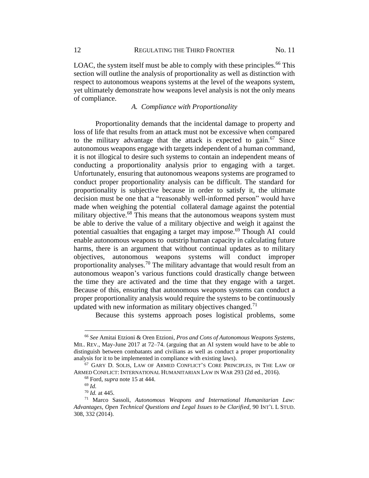LOAC, the system itself must be able to comply with these principles.<sup>66</sup> This section will outline the analysis of proportionality as well as distinction with respect to autonomous weapons systems at the level of the weapons system, yet ultimately demonstrate how weapons level analysis is not the only means of compliance.

## <span id="page-12-0"></span>*A. Compliance with Proportionality*

Proportionality demands that the incidental damage to property and loss of life that results from an attack must not be excessive when compared to the military advantage that the attack is expected to gain.<sup>67</sup> Since autonomous weapons engage with targets independent of a human command, it is not illogical to desire such systems to contain an independent means of conducting a proportionality analysis prior to engaging with a target. Unfortunately, ensuring that autonomous weapons systems are programed to conduct proper proportionality analysis can be difficult. The standard for proportionality is subjective because in order to satisfy it, the ultimate decision must be one that a "reasonably well-informed person" would have made when weighing the potential collateral damage against the potential military objective.<sup>68</sup> This means that the autonomous weapons system must be able to derive the value of a military objective and weigh it against the potential casualties that engaging a target may impose.<sup>69</sup> Though AI could enable autonomous weapons to outstrip human capacity in calculating future harms, there is an argument that without continual updates as to military objectives, autonomous weapons systems will conduct improper proportionality analyses.<sup>70</sup> The military advantage that would result from an autonomous weapon's various functions could drastically change between the time they are activated and the time that they engage with a target. Because of this, ensuring that autonomous weapons systems can conduct a proper proportionality analysis would require the systems to be continuously updated with new information as military objectives changed.<sup>71</sup>

Because this systems approach poses logistical problems, some

<sup>66</sup> *See* Amitai Etzioni & Oren Etzioni, *Pros and Cons of Autonomous Weapons Systems*, MIL. REV., May-June 2017 at 72–74. (arguing that an AI system would have to be able to distinguish between combatants and civilians as well as conduct a proper proportionality analysis for it to be implemented in compliance with existing laws).

<sup>67</sup> GARY D. SOLIS, LAW OF ARMED CONFLICT'S CORE PRINCIPLES, IN THE LAW OF ARMED CONFLICT: INTERNATIONAL HUMANITARIAN LAW IN WAR 293 (2d ed., 2016).

<sup>68</sup> Ford, *supra* note [15](#page-3-1) at 444.

<sup>69</sup> *Id.*

<sup>70</sup> *Id.* at 445.

<sup>71</sup> Marco Sassoli, *Autonomous Weapons and International Humanitarian Law: Advantages, Open Technical Questions and Legal Issues to be Clarified*, 90 INT'L L STUD. 308, 332 (2014).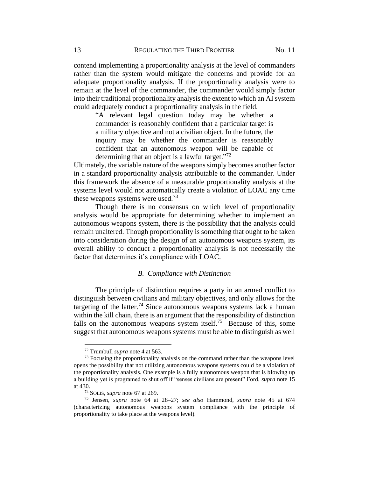contend implementing a proportionality analysis at the level of commanders rather than the system would mitigate the concerns and provide for an adequate proportionality analysis. If the proportionality analysis were to remain at the level of the commander, the commander would simply factor into their traditional proportionality analysis the extent to which an AI system could adequately conduct a proportionality analysis in the field.

"A relevant legal question today may be whether a commander is reasonably confident that a particular target is a military objective and not a civilian object. In the future, the inquiry may be whether the commander is reasonably confident that an autonomous weapon will be capable of determining that an object is a lawful target."<sup>72</sup>

Ultimately, the variable nature of the weapons simply becomes another factor in a standard proportionality analysis attributable to the commander. Under this framework the absence of a measurable proportionality analysis at the systems level would not automatically create a violation of LOAC any time these weapons systems were used.<sup>73</sup>

Though there is no consensus on which level of proportionality analysis would be appropriate for determining whether to implement an autonomous weapons system, there is the possibility that the analysis could remain unaltered. Though proportionality is something that ought to be taken into consideration during the design of an autonomous weapons system, its overall ability to conduct a proportionality analysis is not necessarily the factor that determines it's compliance with LOAC.

#### *B. Compliance with Distinction*

The principle of distinction requires a party in an armed conflict to distinguish between civilians and military objectives, and only allows for the targeting of the latter.<sup>74</sup> Since autonomous weapons systems lack a human within the kill chain, there is an argument that the responsibility of distinction falls on the autonomous weapons system itself.<sup>75</sup> Because of this, some suggest that autonomous weapons systems must be able to distinguish as well

<sup>72</sup> Trumbull *supra* not[e 4](#page-1-1) at 563.

<sup>&</sup>lt;sup>73</sup> Focusing the proportionality analysis on the command rather than the weapons level opens the possibility that not utilizing autonomous weapons systems could be a violation of the proportionality analysis. One example is a fully autonomous weapon that is blowing up a building yet is programed to shut off if "senses civilians are present" Ford, *supra* note [15](#page-3-1) at 430.

<sup>74</sup> SOLIS, *supra* not[e 67](#page-12-0) at 269.

<sup>75</sup> Jensen, *supra* note [64](#page-11-0) at 28*–*27; *see also* Hammond, *supra* note [45](#page-8-1) at 674 (characterizing autonomous weapons system compliance with the principle of proportionality to take place at the weapons level).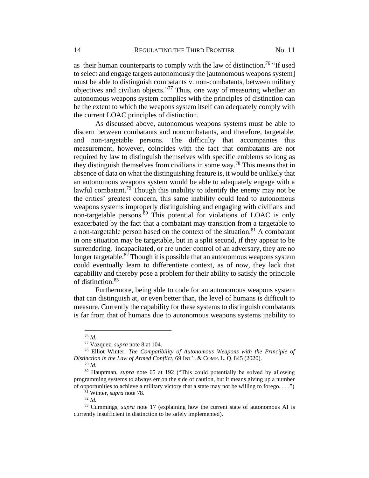as their human counterparts to comply with the law of distinction.<sup>76</sup> "If used to select and engage targets autonomously the [autonomous weapons system] must be able to distinguish combatants v. non-combatants, between military objectives and civilian objects." <sup>77</sup> Thus, one way of measuring whether an autonomous weapons system complies with the principles of distinction can be the extent to which the weapons system itself can adequately comply with the current LOAC principles of distinction.

<span id="page-14-0"></span>As discussed above, autonomous weapons systems must be able to discern between combatants and noncombatants, and therefore, targetable, and non-targetable persons. The difficulty that accompanies this measurement, however, coincides with the fact that combatants are not required by law to distinguish themselves with specific emblems so long as they distinguish themselves from civilians in some way. <sup>78</sup> This means that in absence of data on what the distinguishing feature is, it would be unlikely that an autonomous weapons system would be able to adequately engage with a lawful combatant.<sup>79</sup> Though this inability to identify the enemy may not be the critics' greatest concern, this same inability could lead to autonomous weapons systems improperly distinguishing and engaging with civilians and non-targetable persons.<sup>80</sup> This potential for violations of LOAC is only exacerbated by the fact that a combatant may transition from a targetable to a non-targetable person based on the context of the situation. $81$  A combatant in one situation may be targetable, but in a split second, if they appear to be surrendering, incapacitated, or are under control of an adversary, they are no longer targetable. $8^{2}$  Though it is possible that an autonomous weapons system could eventually learn to differentiate context, as of now, they lack that capability and thereby pose a problem for their ability to satisfy the principle of distinction.<sup>83</sup>

Furthermore, being able to code for an autonomous weapons system that can distinguish at, or even better than, the level of humans is difficult to measure. Currently the capability for these systems to distinguish combatants is far from that of humans due to autonomous weapons systems inability to

<sup>76</sup> *Id.* 

<sup>77</sup> Vazquez, *supra* note [8](#page-2-0) at 104.

<sup>78</sup> Elliot Winter, *The Compatibility of Autonomous Weapons with the Principle of Distinction in the Law of Armed Conflict*, 69 INT'L & COMP. L. Q. 845 (2020).

<sup>79</sup> *Id.*

<sup>80</sup> Hauptman, *supra* note [65](#page-11-1) at 192 ("This could potentially be solved by allowing programming systems to always err on the side of caution, but it means giving up a number of opportunities to achieve a military victory that a state may not be willing to forego. . . .")

<sup>81</sup> Winter, *supra* note [78.](#page-14-0)

<sup>82</sup> *Id.*

<sup>83</sup> Cummings, *supra* note [17](#page-3-2) (explaining how the current state of autonomous AI is currently insufficient in distinction to be safely implemented).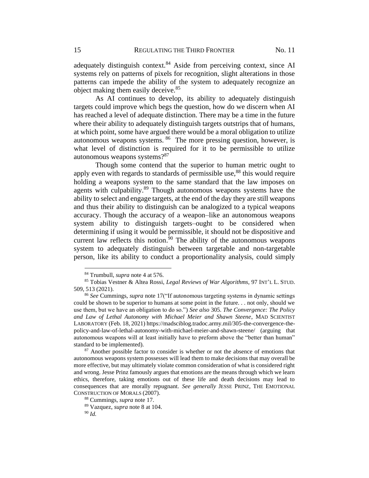adequately distinguish context.  $84$  Aside from perceiving context, since AI systems rely on patterns of pixels for recognition, slight alterations in those patterns can impede the ability of the system to adequately recognize an object making them easily deceive.<sup>85</sup>

<span id="page-15-0"></span>As AI continues to develop, its ability to adequately distinguish targets could improve which begs the question, how do we discern when AI has reached a level of adequate distinction. There may be a time in the future where their ability to adequately distinguish targets outstrips that of humans, at which point, some have argued there would be a moral obligation to utilize autonomous weapons systems. <sup>86</sup> The more pressing question, however, is what level of distinction is required for it to be permissible to utilize autonomous weapons systems?<sup>87</sup>

Though some contend that the superior to human metric ought to apply even with regards to standards of permissible use, $88$  this would require holding a weapons system to the same standard that the law imposes on agents with culpability.<sup>89</sup> Though autonomous weapons systems have the ability to select and engage targets, at the end of the day they are still weapons and thus their ability to distinguish can be analogized to a typical weapons accuracy. Though the accuracy of a weapon–like an autonomous weapons system ability to distinguish targets–ought to be considered when determining if using it would be permissible, it should not be dispositive and current law reflects this notion.<sup>90</sup> The ability of the autonomous weapons system to adequately distinguish between targetable and non-targetable person, like its ability to conduct a proportionality analysis, could simply

<sup>84</sup> Trumbull, *supra* note [4](#page-1-1) at 576.

<sup>85</sup> Tobias Vestner & Altea Rossi, *Legal Reviews of War Algorithms*, 97 INT'L L. STUD. 509, 513 (2021).

<sup>86</sup> *See* Cummings, *supra* note [17\(](#page-3-2)"If autonomous targeting systems in dynamic settings could be shown to be superior to humans at some point in the future. . . not only, should we use them, but we have an obligation to do so.") *See also* 305. *The Convergence: The Policy and Law of Lethal Autonomy with Michael Meier and Shawn Steene*, MAD SCIENTIST LABORATORY (Feb. 18, 2021) https://madsciblog.tradoc.army.mil/305-the-convergence-thepolicy-and-law-of-lethal-autonomy-with-michael-meier-and-shawn-steene/ (arguing that autonomous weapons will at least initially have to preform above the "better than human" standard to be implemented).

<sup>&</sup>lt;sup>87</sup> Another possible factor to consider is whether or not the absence of emotions that autonomous weapons system possesses will lead them to make decisions that may overall be more effective, but may ultimately violate common consideration of what is considered right and wrong. Jesse Prinz famously argues that emotions are the means through which we learn ethics, therefore, taking emotions out of these life and death decisions may lead to consequences that are morally repugnant. *See generally* JESSE PRINZ, THE EMOTIONAL CONSTRUCTION OF MORALS (2007).

<sup>88</sup> Cummings, *supra* note [17.](#page-3-2)

<sup>89</sup> Vazquez, *supra* note [8](#page-2-0) at 104.

<sup>90</sup> *Id.*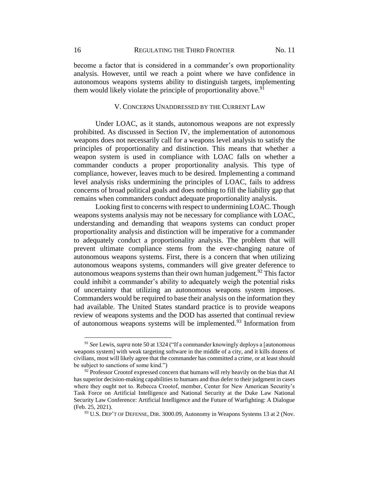become a factor that is considered in a commander's own proportionality analysis. However, until we reach a point where we have confidence in autonomous weapons systems ability to distinguish targets, implementing them would likely violate the principle of proportionality above.<sup>91</sup>

#### V. CONCERNS UNADDRESSED BY THE CURRENT LAW

Under LOAC, as it stands, autonomous weapons are not expressly prohibited. As discussed in Section IV, the implementation of autonomous weapons does not necessarily call for a weapons level analysis to satisfy the principles of proportionality and distinction. This means that whether a weapon system is used in compliance with LOAC falls on whether a commander conducts a proper proportionality analysis. This type of compliance, however, leaves much to be desired. Implementing a command level analysis risks undermining the principles of LOAC, fails to address concerns of broad political goals and does nothing to fill the liability gap that remains when commanders conduct adequate proportionality analysis.

Looking first to concerns with respect to undermining LOAC. Though weapons systems analysis may not be necessary for compliance with LOAC, understanding and demanding that weapons systems can conduct proper proportionality analysis and distinction will be imperative for a commander to adequately conduct a proportionality analysis. The problem that will prevent ultimate compliance stems from the ever-changing nature of autonomous weapons systems. First, there is a concern that when utilizing autonomous weapons systems, commanders will give greater deference to autonomous weapons systems than their own human judgement.<sup>92</sup> This factor could inhibit a commander's ability to adequately weigh the potential risks of uncertainty that utilizing an autonomous weapons system imposes. Commanders would be required to base their analysis on the information they had available. The United States standard practice is to provide weapons review of weapons systems and the DOD has asserted that continual review of autonomous weapons systems will be implemented.<sup>93</sup> Information from

<span id="page-16-0"></span><sup>91</sup> *See* Lewis, *supra* not[e 50](#page-9-0) at 1324 ("If a commander knowingly deploys a [autonomous weapons system] with weak targeting software in the middle of a city, and it kills dozens of civilians, most will likely agree that the commander has committed a crime, or at least should be subject to sanctions of some kind.")

 $92$  Professor Crootof expressed concern that humans will rely heavily on the bias that AI has superior decision-making capabilities to humans and thus defer to their judgment in cases where they ought not to. Rebecca Crootof, member, Center for New American Security's Task Force on Artificial Intelligence and National Security at the Duke Law National Security Law Conference: Artificial Intelligence and the Future of Warfighting: A Dialogue (Feb. 25, 2021).

<sup>&</sup>lt;sup>93</sup> U.S. DEP'T OF DEFENSE, DIR. 3000.09, Autonomy in Weapons Systems 13 at 2 (Nov.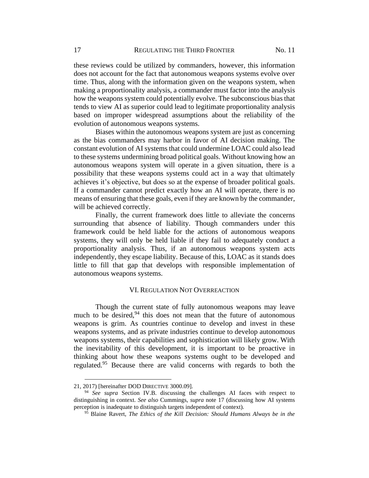these reviews could be utilized by commanders, however, this information does not account for the fact that autonomous weapons systems evolve over time. Thus, along with the information given on the weapons system, when making a proportionality analysis, a commander must factor into the analysis how the weapons system could potentially evolve. The subconscious bias that tends to view AI as superior could lead to legitimate proportionality analysis based on improper widespread assumptions about the reliability of the evolution of autonomous weapons systems.

Biases within the autonomous weapons system are just as concerning as the bias commanders may harbor in favor of AI decision making. The constant evolution of AI systems that could undermine LOAC could also lead to these systems undermining broad political goals. Without knowing how an autonomous weapons system will operate in a given situation, there is a possibility that these weapons systems could act in a way that ultimately achieves it's objective, but does so at the expense of broader political goals. If a commander cannot predict exactly how an AI will operate, there is no means of ensuring that these goals, even if they are known by the commander, will be achieved correctly.

Finally, the current framework does little to alleviate the concerns surrounding that absence of liability. Though commanders under this framework could be held liable for the actions of autonomous weapons systems, they will only be held liable if they fail to adequately conduct a proportionality analysis. Thus, if an autonomous weapons system acts independently, they escape liability. Because of this, LOAC as it stands does little to fill that gap that develops with responsible implementation of autonomous weapons systems.

#### VI. REGULATION NOT OVERREACTION

Though the current state of fully autonomous weapons may leave much to be desired, $94$  this does not mean that the future of autonomous weapons is grim. As countries continue to develop and invest in these weapons systems, and as private industries continue to develop autonomous weapons systems, their capabilities and sophistication will likely grow. With the inevitability of this development, it is important to be proactive in thinking about how these weapons systems ought to be developed and regulated.<sup>95</sup> Because there are valid concerns with regards to both the

<sup>21, 2017) [</sup>hereinafter DOD DIRECTIVE 3000.09].

<sup>94</sup> *See supra* Section IV.B. discussing the challenges AI faces with respect to distinguishing in context. *See also* Cummings, *supra* note [17](#page-3-2) (discussing how AI systems perception is inadequate to distinguish targets independent of context).

<sup>95</sup> Blaine Ravert, *The Ethics of the Kill Decision: Should Humans Always be in the*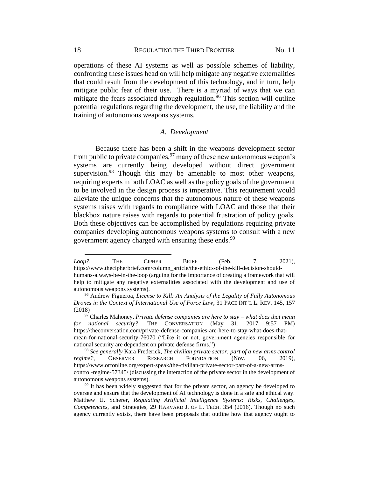operations of these AI systems as well as possible schemes of liability, confronting these issues head on will help mitigate any negative externalities that could result from the development of this technology, and in turn, help mitigate public fear of their use. There is a myriad of ways that we can mitigate the fears associated through regulation.<sup>96</sup> This section will outline potential regulations regarding the development, the use, the liability and the training of autonomous weapons systems.

#### *A. Development*

Because there has been a shift in the weapons development sector from public to private companies,  $97$  many of these new autonomous weapon's systems are currently being developed without direct government supervision.<sup>98</sup> Though this may be amenable to most other weapons, requiring experts in both LOAC as well as the policy goals of the government to be involved in the design process is imperative. This requirement would alleviate the unique concerns that the autonomous nature of these weapons systems raises with regards to compliance with LOAC and those that their blackbox nature raises with regards to potential frustration of policy goals. Both these objectives can be accomplished by regulations requiring private companies developing autonomous weapons systems to consult with a new government agency charged with ensuring these ends.<sup>99</sup>

*Loop?*, THE CIPHER BRIEF (Feb. 7, 2021), https://www.thecipherbrief.com/column\_article/the-ethics-of-the-kill-decision-shouldhumans-always-be-in-the-loop (arguing for the importance of creating a framework that will help to mitigate any negative externalities associated with the development and use of autonomous weapons systems).

<sup>96</sup> Andrew Figueroa, *License to Kill: An Analysis of the Legality of Fully Autonomous Drones in the Context of International Use of Force Law*, 31 PACE INT'L L. REV. 145, 157 (2018)

<sup>97</sup> Charles Mahoney, *Private defense companies are here to stay – what does that mean for national security?*, THE CONVERSATION (May 31, 2017 9:57 PM) https://theconversation.com/private-defense-companies-are-here-to-stay-what-does-thatmean-for-national-security-76070 ("Like it or not, government agencies responsible for national security are dependent on private defense firms.")

<sup>98</sup> *See generally* Kara Frederick, *The civilian private sector: part of a new arms control regime?*, OBSERVER RESEARCH FOUNDATION (Nov. 06, 2019), https://www.orfonline.org/expert-speak/the-civilian-private-sector-part-of-a-new-armscontrol-regime-57345/ (discussing the interaction of the private sector in the development of autonomous weapons systems).

<sup>&</sup>lt;sup>99</sup> It has been widely suggested that for the private sector, an agency be developed to oversee and ensure that the development of AI technology is done in a safe and ethical way. Matthew U. Scherer, *Regulating Artificial Intelligence Systems: Risks, Challenges, Competencies*, and Strategies, 29 HARVARD J. OF L. TECH. 354 (2016). Though no such agency currently exists, there have been proposals that outline how that agency ought to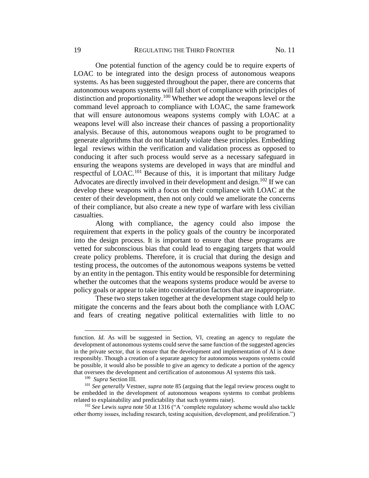One potential function of the agency could be to require experts of LOAC to be integrated into the design process of autonomous weapons systems. As has been suggested throughout the paper, there are concerns that autonomous weapons systems will fall short of compliance with principles of distinction and proportionality.<sup>100</sup> Whether we adopt the weapons level or the command level approach to compliance with LOAC, the same framework that will ensure autonomous weapons systems comply with LOAC at a weapons level will also increase their chances of passing a proportionality analysis. Because of this, autonomous weapons ought to be programed to generate algorithms that do not blatantly violate these principles. Embedding legal reviews within the verification and validation process as opposed to conducing it after such process would serve as a necessary safeguard in ensuring the weapons systems are developed in ways that are mindful and respectful of LOAC.<sup>101</sup> Because of this, it is important that military Judge Advocates are directly involved in their development and design.<sup>102</sup> If we can develop these weapons with a focus on their compliance with LOAC at the center of their development, then not only could we ameliorate the concerns of their compliance, but also create a new type of warfare with less civilian casualties.

Along with compliance, the agency could also impose the requirement that experts in the policy goals of the country be incorporated into the design process. It is important to ensure that these programs are vetted for subconscious bias that could lead to engaging targets that would create policy problems. Therefore, it is crucial that during the design and testing process, the outcomes of the autonomous weapons systems be vetted by an entity in the pentagon. This entity would be responsible for determining whether the outcomes that the weapons systems produce would be averse to policy goals or appear to take into consideration factors that are inappropriate.

These two steps taken together at the development stage could help to mitigate the concerns and the fears about both the compliance with LOAC and fears of creating negative political externalities with little to no

function. *Id.* As will be suggested in Section, VI, creating an agency to regulate the development of autonomous systems could serve the same function of the suggested agencies in the private sector, that is ensure that the development and implementation of AI is done responsibly. Though a creation of a separate agency for autonomous weapons systems could be possible, it would also be possible to give an agency to dedicate a portion of the agency that oversees the development and certification of autonomous AI systems this task.

<sup>100</sup> *Supra* Section III.

<sup>101</sup> *See generally* Vestner, *supra* note [85](#page-15-0) (arguing that the legal review process ought to be embedded in the development of autonomous weapons systems to combat problems related to explainability and predictability that such systems raise).

<sup>102</sup> *See* Lewis *supra* note [50](#page-9-0) at 1316 ("A 'complete regulatory scheme would also tackle other thorny issues, including research, testing acquisition, development, and proliferation.")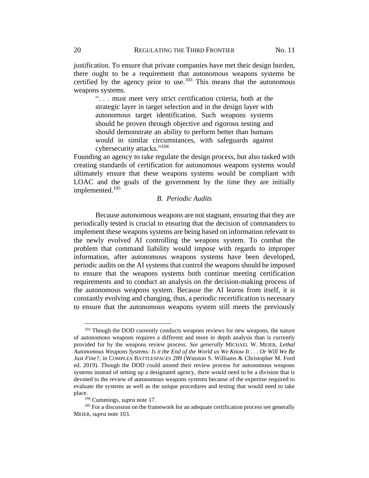justification. To ensure that private companies have met their design burden, there ought to be a requirement that autonomous weapons systems be certified by the agency prior to use.<sup>103</sup> This means that the autonomous weapons systems.

<span id="page-20-0"></span>". . . must meet very strict certification criteria, both at the strategic layer in target selection and in the design layer with autonomous target identification. Such weapons systems should be proven through objective and rigorous testing and should demonstrate an ability to perform better than humans would in similar circumstances, with safeguards against cybersecurity attacks."<sup>104</sup>

Founding an agency to take regulate the design process, but also tasked with creating standards of certification for autonomous weapons systems would ultimately ensure that these weapons systems would be compliant with LOAC and the goals of the government by the time they are initially implemented.<sup>105</sup>

### *B. Periodic Audits*

Because autonomous weapons are not stagnant, ensuring that they are periodically tested is crucial to ensuring that the decision of commanders to implement these weapons systems are being based on information relevant to the newly evolved AI controlling the weapons system. To combat the problem that command liability would impose with regards to improper information, after autonomous weapons systems have been developed, periodic audits on the AI systems that control the weapons should be imposed to ensure that the weapons systems both continue meeting certification requirements and to conduct an analysis on the decision-making process of the autonomous weapons system. Because the AI learns from itself, it is constantly evolving and changing, thus, a periodic recertification is necessary to ensure that the autonomous weapons system still meets the previously

<sup>&</sup>lt;sup>103</sup> Though the DOD currently conducts weapons reviews for new weapons, the nature of autonomous weapons requires a different and more in depth analysis than is currently provided for by the weapons review process. *See generally* MICHAEL W. MEIER, *Lethal Autonomous Weapons Systems: Is it the End of the World as We Know It . . . Or Will We Be Just Fine?*, in COMPLEX BATTLESPACES 289 (Winston S. Williams & Christopher M. Ford ed. 2019). Though the DOD could amend their review process for autonomous weapons systems instead of setting up a designated agency, there would need to be a division that is devoted to the review of autonomous weapons systems because of the expertise required to evaluate the systems as well as the unique procedures and testing that would need to take place.

<sup>104</sup> Cummings, *supra* note [17.](#page-3-2)

<sup>&</sup>lt;sup>105</sup> For a discussion on the framework for an adequate certification process see generally MEIER, *supra* not[e 103.](#page-20-0)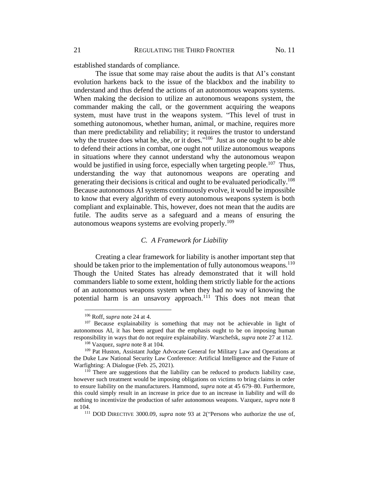established standards of compliance.

The issue that some may raise about the audits is that AI's constant evolution harkens back to the issue of the blackbox and the inability to understand and thus defend the actions of an autonomous weapons systems. When making the decision to utilize an autonomous weapons system, the commander making the call, or the government acquiring the weapons system, must have trust in the weapons system. "This level of trust in something autonomous, whether human, animal, or machine, requires more than mere predictability and reliability; it requires the trustor to understand why the trustee does what he, she, or it does."<sup>106</sup> Just as one ought to be able to defend their actions in combat, one ought not utilize autonomous weapons in situations where they cannot understand why the autonomous weapon would be justified in using force, especially when targeting people.<sup>107</sup> Thus, understanding the way that autonomous weapons are operating and generating their decisions is critical and ought to be evaluated periodically. 108 Because autonomous AI systems continuously evolve, it would be impossible to know that every algorithm of every autonomous weapons system is both compliant and explainable. This, however, does not mean that the audits are futile. The audits serve as a safeguard and a means of ensuring the autonomous weapons systems are evolving properly.<sup>109</sup>

## *C. A Framework for Liability*

Creating a clear framework for liability is another important step that should be taken prior to the implementation of fully autonomous weapons.<sup>110</sup> Though the United States has already demonstrated that it will hold commanders liable to some extent, holding them strictly liable for the actions of an autonomous weapons system when they had no way of knowing the potential harm is an unsavory approach.<sup>111</sup> This does not mean that

<sup>106</sup> Roff, *supra* note [24](#page-4-0) at 4.

<sup>&</sup>lt;sup>107</sup> Because explainability is something that may not be achievable in light of autonomous AI, it has been argued that the emphasis ought to be on imposing human responsibility in ways that do not require explainability. Warschefsk, *supra* note [27](#page-5-1) at 112.

<sup>108</sup> Vazquez, *supra* not[e 8](#page-2-0) at 104.

<sup>109</sup> Pat Huston, Assistant Judge Advocate General for Military Law and Operations at the Duke Law National Security Law Conference: Artificial Intelligence and the Future of Warfighting: A Dialogue (Feb. 25, 2021).

 $110$  There are suggestions that the liability can be reduced to products liability case, however such treatment would be imposing obligations on victims to bring claims in order to ensure liability on the manufacturers. Hammond, *supra* note at [45](#page-8-1) 679–80. Furthermore, this could simply result in an increase in price due to an increase in liability and will do nothing to incentivize the production of safer autonomous weapons. Vazquez, *supra* note [8](#page-2-0) at 104.

<sup>&</sup>lt;sup>111</sup> DOD DIRECTIVE 3000.09, *supra* note [93](#page-16-0) at 2("Persons who authorize the use of,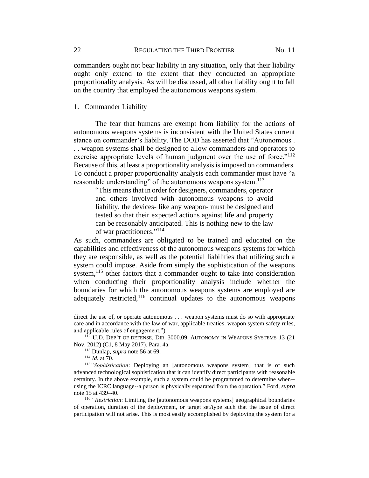commanders ought not bear liability in any situation, only that their liability ought only extend to the extent that they conducted an appropriate proportionality analysis. As will be discussed, all other liability ought to fall on the country that employed the autonomous weapons system.

#### 1. Commander Liability

The fear that humans are exempt from liability for the actions of autonomous weapons systems is inconsistent with the United States current stance on commander's liability. The DOD has asserted that "Autonomous . . . weapon systems shall be designed to allow commanders and operators to exercise appropriate levels of human judgment over the use of force."<sup>112</sup> Because of this, at least a proportionality analysis is imposed on commanders. To conduct a proper proportionality analysis each commander must have "a reasonable understanding" of the autonomous weapons system.<sup>113</sup>

"This means that in order for designers, commanders, operator and others involved with autonomous weapons to avoid liability, the devices- like any weapon- must be designed and tested so that their expected actions against life and property can be reasonably anticipated. This is nothing new to the law of war practitioners."<sup>114</sup>

As such, commanders are obligated to be trained and educated on the capabilities and effectiveness of the autonomous weapons systems for which they are responsible, as well as the potential liabilities that utilizing such a system could impose. Aside from simply the sophistication of the weapons system,<sup>115</sup> other factors that a commander ought to take into consideration when conducting their proportionality analysis include whether the boundaries for which the autonomous weapons systems are employed are adequately restricted, $116$  continual updates to the autonomous weapons

direct the use of, or operate autonomous . . . weapon systems must do so with appropriate care and in accordance with the law of war, applicable treaties, weapon system safety rules, and applicable rules of engagement.")

 $112$  U.D. Dep't of defense, Dir. 3000.09, AUTONOMY IN WEAPONS SYSTEMS 13 (21) Nov. 2012) (C1, 8 May 2017). Para. 4a.

<sup>113</sup> Dunlap, *supra* note [56](#page-10-1) at 69.

<sup>114</sup> *Id.* at 70.

<sup>115</sup>*"Sophistication*: Deploying an [autonomous weapons system] that is of such advanced technological sophistication that it can identify direct participants with reasonable certainty. In the above example, such a system could be programmed to determine when- using the ICRC language--a person is physically separated from the operation." Ford, *supra* note [15](#page-3-1) at 439–40.

<sup>&</sup>lt;sup>116</sup> "Restriction: Limiting the [autonomous weapons systems] geographical boundaries of operation, duration of the deployment, or target set/type such that the issue of direct participation will not arise. This is most easily accomplished by deploying the system for a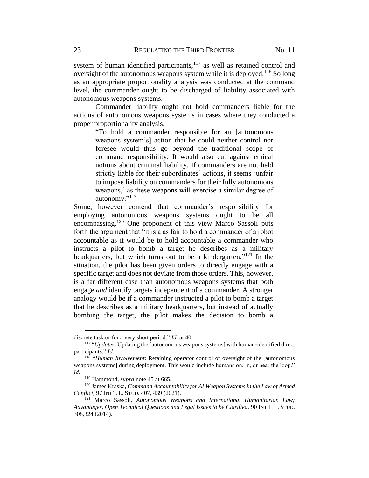system of human identified participants,  $117$  as well as retained control and oversight of the autonomous weapons system while it is deployed.<sup>118</sup> So long as an appropriate proportionality analysis was conducted at the command level, the commander ought to be discharged of liability associated with autonomous weapons systems.

Commander liability ought not hold commanders liable for the actions of autonomous weapons systems in cases where they conducted a proper proportionality analysis.

"To hold a commander responsible for an [autonomous weapons system's] action that he could neither control nor foresee would thus go beyond the traditional scope of command responsibility. It would also cut against ethical notions about criminal liability. If commanders are not held strictly liable for their subordinates' actions, it seems 'unfair to impose liability on commanders for their fully autonomous weapons,' as these weapons will exercise a similar degree of autonomy."<sup>119</sup>

Some, however contend that commander's responsibility for employing autonomous weapons systems ought to be all encompassing.<sup>120</sup> One proponent of this view Marco Sassóli puts forth the argument that "it is a as fair to hold a commander of a robot accountable as it would be to hold accountable a commander who instructs a pilot to bomb a target he describes as a military headquarters, but which turns out to be a kindergarten."<sup>121</sup> In the situation, the pilot has been given orders to directly engage with a specific target and does not deviate from those orders. This, however, is a far different case than autonomous weapons systems that both engage *and* identify targets independent of a commander. A stronger analogy would be if a commander instructed a pilot to bomb a target that he describes as a military headquarters, but instead of actually bombing the target, the pilot makes the decision to bomb a

discrete task or for a very short period." *Id.* at 40.

<sup>117</sup> "*Updates*: Updating the [autonomous weapons systems] with human-identified direct participants." *Id.*

<sup>118</sup> "*Human Involvement*: Retaining operator control or oversight of the [autonomous weapons systems] during deployment. This would include humans on, in, or near the loop." *Id.*

<sup>119</sup> Hammond, *supra* note [45](#page-8-1) at 665.

<sup>120</sup> James Kraska, *Command Accountability for AI Weapon Systems in the Law of Armed Conflict*, 97 INT'L L. STUD. 407, 439 (2021).

<sup>121</sup> Marco Sassóli, *Autonomous Weapons and International Humanitarian Law; Advantages, Open Technical Questions and Legal Issues to be Clarified*, 90 INT'L L. STUD. 308,324 (2014).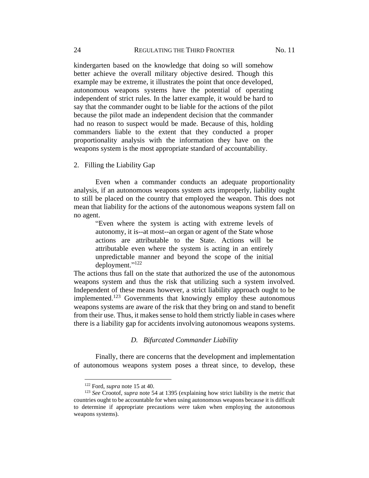kindergarten based on the knowledge that doing so will somehow better achieve the overall military objective desired. Though this example may be extreme, it illustrates the point that once developed, autonomous weapons systems have the potential of operating independent of strict rules. In the latter example, it would be hard to say that the commander ought to be liable for the actions of the pilot because the pilot made an independent decision that the commander had no reason to suspect would be made. Because of this, holding commanders liable to the extent that they conducted a proper proportionality analysis with the information they have on the weapons system is the most appropriate standard of accountability.

#### 2. Filling the Liability Gap

Even when a commander conducts an adequate proportionality analysis, if an autonomous weapons system acts improperly, liability ought to still be placed on the country that employed the weapon. This does not mean that liability for the actions of the autonomous weapons system fall on no agent.

"Even where the system is acting with extreme levels of autonomy, it is--at most--an organ or agent of the State whose actions are attributable to the State. Actions will be attributable even where the system is acting in an entirely unpredictable manner and beyond the scope of the initial deployment."<sup>122</sup>

The actions thus fall on the state that authorized the use of the autonomous weapons system and thus the risk that utilizing such a system involved. Independent of these means however, a strict liability approach ought to be implemented.<sup>123</sup> Governments that knowingly employ these autonomous weapons systems are aware of the risk that they bring on and stand to benefit from their use. Thus, it makes sense to hold them strictly liable in cases where there is a liability gap for accidents involving autonomous weapons systems.

#### *D. Bifurcated Commander Liability*

Finally, there are concerns that the development and implementation of autonomous weapons system poses a threat since, to develop, these

<sup>122</sup> Ford, *supra* note [15](#page-3-1) at 40.

<sup>123</sup> *See* Crootof, *supra* note [54](#page-10-0) at 1395 (explaining how strict liability is the metric that countries ought to be accountable for when using autonomous weapons because it is difficult to determine if appropriate precautions were taken when employing the autonomous weapons systems).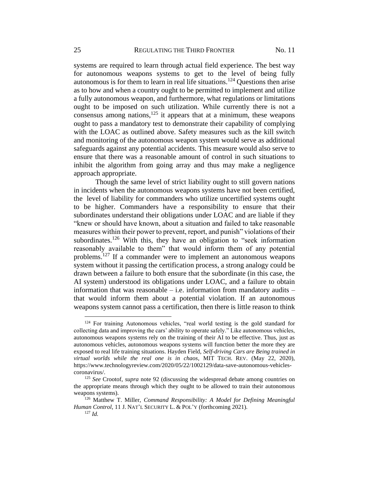systems are required to learn through actual field experience. The best way for autonomous weapons systems to get to the level of being fully autonomous is for them to learn in real life situations.<sup>124</sup> Questions then arise as to how and when a country ought to be permitted to implement and utilize a fully autonomous weapon, and furthermore, what regulations or limitations ought to be imposed on such utilization. While currently there is not a consensus among nations, $125$  it appears that at a minimum, these weapons ought to pass a mandatory test to demonstrate their capability of complying with the LOAC as outlined above. Safety measures such as the kill switch and monitoring of the autonomous weapon system would serve as additional safeguards against any potential accidents. This measure would also serve to ensure that there was a reasonable amount of control in such situations to inhibit the algorithm from going array and thus may make a negligence approach appropriate.

Though the same level of strict liability ought to still govern nations in incidents when the autonomous weapons systems have not been certified, the level of liability for commanders who utilize uncertified systems ought to be higher. Commanders have a responsibility to ensure that their subordinates understand their obligations under LOAC and are liable if they "knew or should have known, about a situation and failed to take reasonable measures within their power to prevent, report, and punish" violations of their subordinates.<sup>126</sup> With this, they have an obligation to "seek information" reasonably available to them" that would inform them of any potential problems.<sup>127</sup> If a commander were to implement an autonomous weapons system without it passing the certification process, a strong analogy could be drawn between a failure to both ensure that the subordinate (in this case, the AI system) understood its obligations under LOAC, and a failure to obtain information that was reasonable  $-$  i.e. information from mandatory audits  $$ that would inform them about a potential violation. If an autonomous weapons system cannot pass a certification, then there is little reason to think

<sup>124</sup> For training Autonomous vehicles, "real world testing is the gold standard for collecting data and improving the cars' ability to operate safely." Like autonomous vehicles, autonomous weapons systems rely on the training of their AI to be effective. Thus, just as autonomous vehicles, autonomous weapons systems will function better the more they are exposed to real life training situations. Hayden Field, *Self-driving Cars are Being trained in virtual worlds while the real one is in chaos*, MIT TECH. REV. (May 22, 2020), https://www.technologyreview.com/2020/05/22/1002129/data-save-autonomous-vehiclescoronavirus/.

<sup>125</sup> *See* Crootof, *supra* note 92 (discussing the widespread debate among countries on the appropriate means through which they ought to be allowed to train their autonomous weapons systems).

<sup>126</sup> Matthew T. Miller, *Command Responsibility: A Model for Defining Meaningful Human Control*, 11 J. NAT'L SECURITY L. & POL'Y (forthcoming 2021).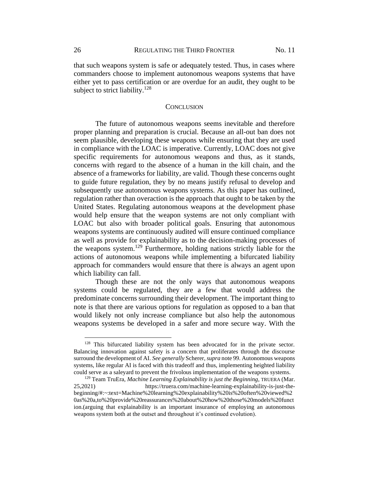that such weapons system is safe or adequately tested. Thus, in cases where commanders choose to implement autonomous weapons systems that have either yet to pass certification or are overdue for an audit, they ought to be subject to strict liability.<sup>128</sup>

#### **CONCLUSION**

The future of autonomous weapons seems inevitable and therefore proper planning and preparation is crucial. Because an all-out ban does not seem plausible, developing these weapons while ensuring that they are used in compliance with the LOAC is imperative. Currently, LOAC does not give specific requirements for autonomous weapons and thus, as it stands, concerns with regard to the absence of a human in the kill chain, and the absence of a frameworks for liability, are valid. Though these concerns ought to guide future regulation, they by no means justify refusal to develop and subsequently use autonomous weapons systems. As this paper has outlined, regulation rather than overaction is the approach that ought to be taken by the United States. Regulating autonomous weapons at the development phase would help ensure that the weapon systems are not only compliant with LOAC but also with broader political goals. Ensuring that autonomous weapons systems are continuously audited will ensure continued compliance as well as provide for explainability as to the decision-making processes of the weapons system.<sup>129</sup> Furthermore, holding nations strictly liable for the actions of autonomous weapons while implementing a bifurcated liability approach for commanders would ensure that there is always an agent upon which liability can fall.

Though these are not the only ways that autonomous weapons systems could be regulated, they are a few that would address the predominate concerns surrounding their development. The important thing to note is that there are various options for regulation as opposed to a ban that would likely not only increase compliance but also help the autonomous weapons systems be developed in a safer and more secure way. With the

<sup>128</sup> This bifurcated liability system has been advocated for in the private sector. Balancing innovation against safety is a concern that proliferates through the discourse surround the development of AI*. See generally* Scherer, *supra* note 99. Autonomous weapons systems, like regular AI is faced with this tradeoff and thus, implementing heighted liability could serve as a saleyard to prevent the frivolous implementation of the weapons systems.

<sup>129</sup> Team TruEra, *Machine Learning Explainability is just the Beginning*, TRUERA (Mar. 25,2021) https://truera.com/machine-learning-explainability-is-just-thebeginning/#:~:text=Machine%20learning%20explainability%20is%20often%20viewed%2 0as%20a,to%20provide%20reassurances%20about%20how%20those%20models%20funct ion.(arguing that explainability is an important insurance of employing an autonomous weapons system both at the outset and throughout it's continued evolution).